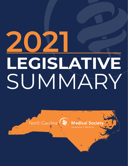# **LEGISLATIVE** SUMMARY **2021**



**Medical Society** eadership in Medicine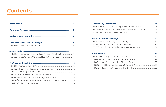| HB 149 - Improving Access to Care Through Telehealth  11 |  |
|----------------------------------------------------------|--|
| SB 666 - Update Reqs./Advance Health Care Directives11   |  |
|                                                          |  |
|                                                          |  |
|                                                          |  |
|                                                          |  |
|                                                          |  |

| HB 96 - Pharmacists Administer Injectable Drugs14          |  |
|------------------------------------------------------------|--|
| HB 512/SB 575 - Pharmacists Improve Public Health Needs 15 |  |
|                                                            |  |

#### **[Civil Liability Protections.............................................................................18](#page-9-0)**

HB 538/SB 475 - Transparency in SB 476/HB 539 - Protecting Pro SB 477 – Victims' Fair Treatmen

#### **Health Insurance Coverage [........................................................................](#page-10-0) 20**

SB 505 – Medical Billing Transpa SB 228 – Allow Insurers to Offer  $SB 530 - Medical for Twelve M$ 

#### **Public Health [...................................................................................................](#page-11-0) 22**

SB 711 – NC Compassionate Care HB 608 – Dignity for Women ar HB 61 – Local Communicable D HB 395 – HIE Deadline Extensio HB 272 – Revise Health Standar

### **Contents**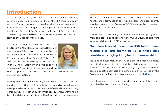### <span id="page-2-0"></span>**Introduction**

On January 13, 2021, the North Carolina General Assembly ceremoniously held its opening day of the 2021-2022 biennium session. During the opening session, the Senate unanimously re-elected Sen. Phil Berger (R-Rockingham) to his sixth term as the Senate President Pro Tem, and the House of Representatives unanimously re-elected Rep. Tim Moore (R-Cleveland) to his fourth term as the Speaker of the House.

Out of the 170 legislators who were sworn into the NC 2021-22 legislature, Dr. Kristin Baker was the only physician sworn into the legislature this biennium as a member of the House of Representatives. Rep. Baker (R-Cabarrus), a child psychiatrist, is serving in her first term in the General Assembly and was appointed to serve as Chair of the House Health and the House Appropriations, Health and Human Services committees.



During this legislative session, as a result of the COVID-19 pandemic, the General Assembly was responsible for allocating an unprecedented amount of COVID-relief federal funds including Coronavirus Aid, Relief, and Economic Security (CARES) Act funding 1 and 2 and the American Rescue Plan funds. Given the deleterious

*Rep. Kristin Baker, MD*

impact that COVID has had on the health of NC residents and the health care system, health care was a priority and subsequently was the primary focus of target of COVID-relief legislation passed during the 2021 session.

The NC Medical Society government relations and policy team members stayed engaged and watchful as a flurry of bills were introduced during the 2021 legislative session.

### **Our team tracked more than 450 health carerelated bills and identified 75 of those bills considered a high priority for our membership.**

Included is a summary of the 75 bills that the Medical Society prioritized. A complete listing of all the bills that were introduced and had some action, whether it was being assigned to committee, passing in both chambers and signed into law, or vetoed by the Governor can be found at **<https://ncleg.gov/Legislation>**.

For sake of brevity this report provides a summary of the 75 bills prioritized by the NC Medical Society.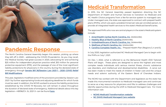<span id="page-3-0"></span>

# **Pandemic Response**

The North Carolina General Assembly began this session, picking up where they left off in 2020 – addressing the COVID-19 pandemic. As you may recall, the Medical Society had great success in 2020, advocating for and achieving \$25 million for independent physician practice relief, \$10 million for personal protective equipment (PPE), and the passage of one of the most significant liability protections for physicians in the country during the declared state of emergency through **[Senate Bill 36/Session Law 2021-1 – 2020 COVID Relief](https://www.ncleg.gov/BillLookup/2021/S36)  [Bill Modifications](https://www.ncleg.gov/BillLookup/2021/S36)**.

This year, legislators modified some of the provisions provided by Session Law 2021-1 by further appropriating funds and adjusting deadlines for which funds must be used. In addition, the NCMS worked to ensure the liability protections established by the COVID 19 Recovery Act will remain in place throughout the duration of declared state of emergency. Additional details about this key legislation—HB196/Ch. SL 2021-3--can be found **[here](https://www.ncleg.gov/BillLookUp/2021/H196)**.

# **Medicaid Transformation**

In 2015, the NC General Assembly passed legislation directing the NC Department of Health and Human Services to transition its Medicaid and NC Health Choice programs from a fee-for-service system to managed care. Under managed care, the state was approved to contract with prepaid health plans (PHPs), which are paid a predetermined set rate per enrolled person, to provide all integrated health services to the state's Medicaid beneficiaries.

The approved PHPs who now are central players in the state's Medicaid system include:

- **1. [AmeriHealth Caritas North Carolina, Inc](https://www.amerihealthcaritasnc.com/)**. (statewide);
- **2. [Healthy Blue of North Carolina](https://www.healthybluenc.com/north-carolina/home.html)** (statewide);
- **3. [UnitedHealthcare of North Carolina, Inc.](https://www.uhccommunityplan.com/nc/medicaid/medicaid-uhc-community-plan)** (statewide);
- **4. [WellCare of North Carolina, Inc](https://www.wellcare.com/North-Carolina/Members/Medicaid-Plans/WellCare-of-North-Carolina)**. (statewide);
- 

**5. [Carolina Complete Health, Inc.](https://www.carolinacompletehealth.com/)** – Prepaid Health Plan (Regions 3, 4 and 5).

In July 2020, legislation authorized NC Medicaid Managed Care to begin with the PHPs on July 1, 2021.

On Dec. 1, 2022, what is referred to as the Behavioral Health I/DD Tailored Plans will begin. These plans are designed to serve the highest and most complex needs individuals with serious mental illness, chronic substance use disorders, and intellectual and developmental disabilities. A carve out has been made to meet the needs of children in foster care and the unique needs and solemn authority of the Eastern Band of Cherokee Indians.

The NCMS has worked with the Department and legislators as the state has made this monumental transition to Medicaid managed care and continues to serve as a key resource for physicians and PAs to address challenges and identify opportunities during the shift to Medicaid Managed Care. For more information visit:

- **[NCMS Medicaid Transformation website](https://www.ncmedsoc.org/advocacy/medicaid-transformation/)**
- **[NC DHHS Medicaid Managed Care website](https://medicaid.ncdhhs.gov/transformation)**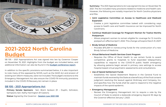<span id="page-4-0"></span>

### **2021-2022 North Carolina Budget**

SB 105 – 2021 Appropriations Act was signed into law by Governor Cooper on November 19, 2021. Highlights from the budget are included below, and additional information can also be found in the **[budget conference report](https://webservices.ncleg.gov/ViewBillDocument/2021/53458/2/S105-BD-NBC-9279)**.

In addition to the specific provisions summarized below, it is also important to note many of the opposed by NCMS, such as the SAVE Act and erosion of existing tort reform measures, were not included. The budget's revisions to the Emergency Management Act also ensure the COVID-19 immunity provisions included in the COVID-19 Recovery Act remain in place.

#### **[SB 105 – 2021 Appropriations Act](https://www.ncleg.gov/Sessions/2021/Bills/Senate/PDF/S105v8.pdf)**

**Primary Senate Sponsors:** Sen. Brent Jackson (R – Duplin, Johnston, Sampson); Sen. Kathy Harrington (R-Gaston);

» Allows pregnant women to remain eligible for coverage for 12 months postpartum effective April 1, 2022. This change will expire March 31, 2027.

**Status:** Signed by the Governor - **[Session Law 2021-108](https://www.ncleg.gov/Sessions/2021/Bills/Senate/PDF/S105v8.pdf)**

**Summary:** The 2021 Appropriations Act was signed into law on November 19, 2021. The Act included many provisions related to medicine and health care. However, the following are notably important for North Carolina physicians and PAs:

Requires the Office of Rural Health to use certain funds to award competitive grants to hospitals to fund expanded telepsychiatry capabilities to respond to the COVID-19 public health emergency by allowing patients begin served in primary care settings to access hospital-based virtual psychiatric assessments and consultations.

» Creates a joint legislative committee tasked with considering ways access to health care and health insurance can be improved for North

#### ■ **Continue Medicaid Coverage for Pregnant Women for Twelve Months**

- **Expansion**
	- Carolinians.
- **Postpartum**
- 
- **■ Brody School of Medicine**
	- Brody School of Medicine.
- **■ Virtual Behavioral Health Services Grant Program**
	-

» Provides \$75.25M in nonrecurring funds for the construction of a new

#### **■ Use of Opioid Settlement Funds**

» Establishes the Opioid Abatement Reserve in the General Fund to maintain funds received by the State as a beneficiary of the final consent judgment resolving the lawsuit against McKinsey and Company, Inc. and specifies how the funds shall be used to respond to the negative

impacts of the opioid epidemic.

#### **■ Emergency Management**

» Revises the Emergency Management Act to require a vote by the Council of State to extend a statewide emergency beyond 30 days by

the Governor effective January 1, 2023.

#### ■ **Joint Legislative Committee on Access to Healthcare and Medicaid**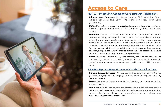<span id="page-5-0"></span>

### **Access to Care**

#### **[HB 149 – Improving Access to Care Through Telehealth](https://www.ncleg.gov/BillLookUp/2021/h149)**

**Primary House Sponsors:** Rep. Donny Lambeth (R-Forsyth); Rep. Donna White (R-Johnston); Rep. Larry Potts (R-Davidson); Rep. Kristin Baker (R-Cabarrus)

**Status:** Passed the House on May 6, 2021 and was referred to the Committee on Rules and Operations of the Senate. This bill remains eligible for consideration in 2022.

**Summary:** Creates a new section in the Insurance Chapter of the General Statutes requiring coverage for health care services delivered through telehealth and would create a definition for telehealth. It would require private health insurance plans to provide reimbursement for provider-toprovider consultations conducted through telehealth if it would do so for face-to-face consultations. It would state telehealth may not be used for an abortion, except in the case of a medical emergency. The latest edition would also enumerate certain requirements and prohibitions.

**Notes:** The NCMS worked closely with specialty societies and other health care industry partners to successfully move this bill forward with one no vote in the House. The Senate remains opposed to taking up this bill in its current form.

#### **[SB 666 – Update Reqs./Advance Health Care Directives](https://www.ncleg.gov/BillLookUp/2021/s666)**

**Primary Senate Sponsors:** Primary Senate Sponsors: Sen. Joyce Krawiec (R-Davie, Forsyth); Sen. Jim Burgin (R-Harnett, Johnston, Lee); Sen. Jim Perry (R-Lenoir, Wayne)

**Status:** Referred to Committee on Rules, Calendar, and Operations of the House on 5/6/2021.

**Summary:** In North Carolina, advance directives have historically required two witness signatures and notarization. SB 666 reduces the burden of executing advance directives and health care power of attorneys by requiring either two witness signatures or notarization.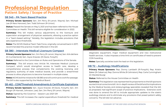### <span id="page-6-0"></span>**Professional Regulation Patient Safety / Scope of Practice**

#### **[SB 345 – PA Team Based Practice](https://www.ncleg.gov/BillLookUp/2021/SB 345)**

**Status:** Passed the Senate on May 5, 2021 and has been referred to the House Committee on Health. This bill remains eligible for consideration in 2022.

**Primary Senate Sponsors:** Sen. Jim Perry (R-Lenoir, Wayne); Sen. Michael Lee (R-New Hanover); Sen. Todd Johnson (R-Union)

**Summary:** This bill makes various adjustments to the licensure and supervision arrangement of physician assistants, allowing a practice option in a "team-based setting." Notably, the legislation includes provisions that sets experience thresholds.

**Summary:** This bill enacts new Article IM, Interstate Medical Licensure Compact, which would strengthen access to health care, develop a comprehensive process that complements the existing licensing and regulatory authority of state medical boards, and provide a streamlined process to allow physicians to become licensed in multiple states.

**Notes:** The NCMS Medical Team Task Force, originally convened back in 2017, recommended the practice model reflected in this bill.

#### **[SB 380 – Interstate Medical Licensure Compact](https://www.ncleg.gov/BillLookUp/2021/SB 380)**

**Primary Senate Sponsors:** Sen. Jim Perry (R-Lenoir, Wayne); Sen. Kirk deViere (D-Cumberland); Sen. Joyce Krawiec (R-Davie, Forsyth)

**Status:** Referred to the Committee on Rules and Operations of the Senate.

**Notes:** NCMS led the initiative for SB 380 and will continue to work for passage. The bill is also supported by the Medical Board.

#### **[SB 462 – CON/Threshold Amendments & Certificate Expirations](https://www.ncleg.gov/BillLookUp/2021/SB 462)**

**Primary Senate Sponsors:** Sen. Joyce Krawiec (R-Davie, Forsyth); Sen. Jim Burgin (R-Harnett, Johnston, Lee); Sen. Jim Perry (R-Lenoir, Wayne)

**Status:** Signed by the Governor – Session Law 2021-129

**Summary:** This bill increases the capital expenditure threshold for medical



diagnostic equipment, major medical equipment and new institutional health services. It also imposes a time limit on certificates of need to prevent CON hoarding.

**Notes:** Specialty societies took the lead on this legislation.

#### **[HB 72 – Audiology Modifications](https://www.ncleg.gov/BillLookUp/2021/HB 72)**

**Primary House Sponsors:** Rep. Donny Lambeth (R-Forsyth); Rep. Kristin Baker (R-Cabarrus); Rep. Donna White (R-Johnston); Rep. Carla Cunningham (D-Mecklenburg)

**Status**: Referred to the House Committee on Health

**Summary:** This legislation was represented its proponents to the bill sponsors as a technical corrections bill. An in-depth review of the bill and its implications by the Medical Society and otolaryngology specialists revealed that the bill, as proposed, had significant scope of practice implications. Extensive work was done to amend the bill to include appropriate updates to the state's audiology statute and to eliminate any provisions that posed patient safety concerns. The bill did not advance.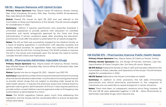#### <span id="page-7-0"></span>**[HB 93 – Require Naloxone with Opioid Scripts](https://www.ncleg.gov/BillLookUp/2021/HB 93)**

**Primary House Sponsors:** Rep. Wayne Sasser (R-Cabarrus, Rowan, Stanly); Rep. Chris Humphrey (R-Lenoir, Pitt); Rep. Timothy Moffitt (R-Henderson); Rep. Gale Adcock (D-Wake)

**Status:** Passed the House on April 28, 2021 and was referred to the Committee on Rules and Operations of the Senate. This bill remains eligible for consideration in 2022.

**Summary:** Edition 3 requires practitioners who prescribe Schedule II controlled substances to provide patients with education on overdose prevention and opioid antagonists approved by the Food and Drug Administration if certain conditions apply. After providing the education, practitioners must offer the patient a prescription for an opioid antagonist.

**Primary House Sponsors:** Rep. Wayne Sasser (R-Cabarrus, Rowan, Stanly); Rep. Mitchell Setzer (R-Catawba); Rep. Donna White (R-Johnston); Rep. Gale Adcock (D-Wake)

**Notes:** The bill as filed was successfully stopped by the Medical Society as a result of leading opposition in coordination with specialty societies and county medical societies. An opposition letter was created by NCMS and utilized to halt the bill from moving forward. The NCMS worked to improve the bill in the House and impressed upon the Senate the need to further consider the bill's intent and implications.

> **Primary House Sponsors:** Rep. Wayne Sasser (R-Cabarrus, Rowan, Stanly) **Primary Senate Sponsors:** Sen. Jim Burgin (R-Harnett, Johnston, Lee); Sen. Joyce Krawiec (R-Davie, Forsyth); Sen. Jim Perry (R-Lenoir, Wayne)

#### **[HB 96 – Pharmacists Administer Injectable Drugs](https://www.ncleg.gov/BillLookUp/2021/HB 96)**

**SB 575 Status:** Passed the Senate on May 11, 2021 and has been referred to the Committee on Rules, Calendar, and Operations of the House. This bill remains eligible for consideration in 2022.

**Summary:** In addition to other provisions, this bill adds immunizing pharmacists and clinical pharmacist practitioners to the categories of individuals who can prescribe an opioid antagonist in certain situations.

**Status:** Signed into law on August 20, 2021 – Session Law 2021-110.

**Summary:** Expands the number of vaccines and medications that immunizing pharmacists are allowed to administer. It authorizes immunizing pharmacists to provide certain drugs that are subject to standing order issued by the state health director. It requires the pharmacy board and medical board to generate rules to govern administration of this act. It also requires parents to provide written consent before a vaccine approved under an Emergency Use Authorization is administered to a minor.

**Notes:** The NCMS Legislative Cabinet spent much time addressing this legislation, and the Society led the coordinated effort to ensure all specialty voices were heard.



#### **[HB 512/SB 575 – Pharmacists Improve Public Health Needs](https://www.ncleg.gov/BillLookUp/2021/HB 512)**

**HB 512 Status:** Referred to the House Committee on Health.

**Notes:** There have been no subsequent iterations since filing; however, SB 575 and HB 96 were addressed together in HB 96 – Allow Pharmacists to Administer Injectable Drugs, which became law.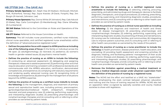#### **■ Defines the practice of nursing as a certified registered nurse anesthetist to include the following:** (1) selecting, ordering, procuring, prescribing, and administering drugs and therapeutic devices to facilitate

diagnostic, therapeutic, and surgical procedures; (2) ordering, prescribing, performing, supervising, and interpreting diagnostic studies, procedures, and interventions; and (3) consulting with or referring to other health care

#### ■ **Defines the practice of nursing as a clinical nurse specialist as including**

■ Defines the practice of nursing as a nurse practitioner to include the **following:** (1) health promotion, disease prevention, health education, and counseling; (2) providing health assessment and screening activities; (3) diagnosis, treating, and facilitating patients' management of their acute and chronic illnesses and diseases; (4) ordering, performing, supervising, and interpreting diagnostic studies; (5) prescribing pharmacologic and nonpharmacologic therapies; and (6) consulting with or referring to other

**the following:** (1) the diagnosis and treatment of health and illness states; (2) disease management; (3) prescribing pharmacologic and nonpharmacologic therapies; (3) ordering, performing, supervising, and interpreting diagnostic studies; (4) preventing of illness and risk behaviors; (5) nursing care for individuals, families, and communities; (6) integrating care to improve patient outcomes; and (7) consulting with or referring to other health care providers as warranted by the needs of the patient.

- providers as warranted by patient needs.
- 
- health care providers as warranted by patient needs.
- **the definition of the practice of nursing by a registered nurse.**

**Summary:** This bill includes nurse practitioners, certified nurse midwives, clinical nurse specialists, and certified registered nurse anesthetists within the definition of "advanced practice registered nurse."

### **■ Removes the limitation against prescribing a medical treatment or making a medical diagnosis except under physician supervision from**

**Notes:** The NCMS led the effort and testified at a SAVE Act "stakeholder" meeting, emphasizing the stark contrast between physician education and training and the hours of training required for APRNs. NCMS also led an opposition letter co-signed by specialty societies and county medical societies to share with legislators.

- **Defines the population focus with respect to APRN practice as including one of the following areas of focus:** (1) the family or individual across the life span; (2) adult/gerontology; (3) neonatal; (4) pediatrics; (5) women's health or gender-related issues; (6) psychiatric mental health.
- **Defines the practice of nursing as an APRN to include the following:** (1) conducting an advanced assessment; (2) delegating and assigning therapeutic measures to assistive personnel; (3) performing other acts that require education and training consistent with professional standards and commensurate with the APRN's education, certification, demonstrated competencies, and experience; (4) complying with statutory requirements and rendering quality advanced nursing care; (5) recognizing limits of knowledge and experience; (6) planning for the management of situations beyond the APRN's expertise.
- **■ Defines the practice of nursing as a certified nurse midwife to include the following:** (1) the management, diagnosis, and treatment of primary sexual and reproductive health care, including primary, preconception, gynecologic/reproductive/sexual health, antepartum, intrapartum, neonatal, and post-pregnancy care; (2) ordering, performing, supervising, and interpreting diagnostic studies; (3) prescribing pharmacologic and nonpharmacologic therapies; and (4) consulting with or referring to other providers as warranted by patient needs.

#### <span id="page-8-0"></span>**[HB 277/SB 249 – The SAVE Act](https://www.ncleg.gov/BillLookUp/2021/HB 277)**

**Primary Senate Sponsors:** Sen. Ralph Hise (R-Madison, McDowell, Mitchell, Polk, Rutherford, Yancey); Rep. Joyce Krawiec (R-Davie, Forsyth); Rep. Jim Burgin (R-Harnett, Johnston, Lee)

**Primary House Sponsors:** Rep. Donna White (R-Johnston); Rep. Gale Adcock (D-Wake); Rep. Carla Cunningham (D-Mecklenburg); Rep. Diane Wheatley (R-Cumberland)

**SB 249 Status:** Referred to the Committee on Rules and Operations of the Senate.

**HB 277 Status:** Referred to the House Committee on Health.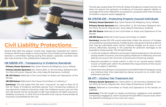This bill also revises Rule 411 of the NC Rules of Evidence to state that the rule does not require the exclusion of evidence of insurance against liability or coverage limits when offered for a purpose for a purpose other than the issue of whether a person acted negligently.

#### **[SB 476/HB 539 – Protecting Properly Insured Individuals](https://www.ncleg.gov/BillLookUp/2021/SB 476)**

**Primary House Sponsors:** Rep. Sarah Stevens (R-Alleghany, Surry, Wilkes)

**Primary Senate Sponsors:** Sen. Danny Britt, Jr. (R-Columbus, Robeson); Sen.

**Summary:** Senate Bill 476 would potentially inflate the amount of charges recoupable by injured parties by modifying the rules governing the evidence that may be submitted when certain medical charges are at issue in civil actions, effectively resulting in the potential for phantom damages to be awarded to these parties. This bill specifically:

Jim Perry (R-Lenoir, Wayne); Sen. Amy Galey (R-Alamance, Guilford)

■ Limits the evidence offered to prove past medical expenses to the amount paid by health insurance, amounts paid by Medicare or Medicaid, amounts paid by any source, lien amounts, and amounts remaining unpaid.

**SB 476 Status:** Referred to the Committee on Rules and Operations of the Senate.

**HB 539 Status:** Referred to the House Committee on Health.

■ Requires providers to timely submit a claim to an injured party's health insurer or health plan within the allotted time requirements of the insurer

■ States that calculating an injured party's provider/medical charges by using any method other than described by statute amounts to an unfair claim

**Summary:** This bill sought to repeal contributory negligence and establish comparative negligence, which would permit plaintiffs to recover even when the plaintiff contributes to his or her own injury.

- 
- or plan to assert a valid lien.
- settlement practice.

#### **[SB 477 – Victims' Fair Treatment Act](https://www.ncleg.gov/BillLookUp/2021/SB 477)**

**Primary Senate Sponsors:** Sen. Danny Britt, Jr. (R-Columbus, Robeson); Sen. Jim Perry (R-Lenoir, Wayne); Sen. Amy Galey (R-Alamance, Guilford)

**Status:** Referred to Committee on Rules and Operations of the Senate on 4/5/2021.

<span id="page-9-0"></span>

# **Civil Liability Protections**

Several bills filed this session would have negatively impacted tort reform. However, NCMS was a leader in ensuring that none of bills summarized below received a committee hearing during this session. Specialty societies were also instrumental in the collaborative response to bills.

#### **[HB 538/SB 475 – Transparency in Evidence Standards](https://www.ncleg.gov/BillLookUp/2021/HB 538)**

**Primary House Sponsors:** Rep. Sarah Stevens (R-Alleghany, Surry, Wilkes)

**Primary Senate Sponsors:** Sen. Danny Britt, Jr. (R-Columbus, Robeson); Sen. Jim Perry (R-Lenoir, Wayne); Sen. Amy Galey (R-Alamance, Guilford)

**SB 475 Status:** Referred to the Committee on Rules and Operations of the Senate.

**HB 538 Status:** Referred to the House Committee on Judiciary 2.

**Summary:** This bill states that the term "insurance" as used in Rule 411 of the NC Rules of Evidence prohibits parties from introducing evidence of any payments made by insurance under the collateral source rule, but that the rule should not be construed to infer that evidence of health insurance, disability insurance, or other forms of benefits that may be characterized as insurance is prohibited by the rule.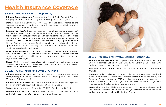### <span id="page-10-0"></span>**Health Insurance Coverage**

#### **[SB 505 – Medical Billing Transparency](https://www.ncleg.gov/BillLookUp/2021/SB 505)**

**Primary Senate Sponsors:** Sen. Joyce Krawiec (R-Davie, Forsyth); Sen. Jim Burgin (R-Harnett, Johnston, Lee); Sen. Jim Perry (R-Lenoir, Wayne)

**Status:** Passed the Senate on May 5, 2021 and has been referred to the Committee on Rules, Calendar, and Operations of the House. This bill remains eligible for consideration in 2022.

**Summary as filed:** Addressing an issue commonly known as "surprise billing," this bill requires all contracts for participation as an in-network health services facility between an insurer offering health benefit plans and a health services facility at which there are out-of-network providers who may be part of the provision of services to an insured to require the facility to provide at least 72 hours' advanced written notification to an insured that has scheduled an appointment at the facility of any out-of-network provider who will provide health care services to the insured.

**Summary:** This bill allows insurers to offer exclusive provider benefit plans and establishes continuity of care provisions for those plans.



**Most recent edition:** Modifies new GS 58-3-295 to eliminate the proposed procedure under which an insurer may recover overpayments made to the health care provider or facility under the new statute. Makes conforming organizational changes.

**Notes:** NCMS worked with specialty societies to stop this issue from advancing in the House. An opposition letter was signed by various groups and used to inhibit this bill from moving forward.

#### **[SB 228 – Allow Insurers to Offer EPO Plans](https://www.ncleg.gov/BillLookUp/2021/SB 228)**

**Primary Senate Sponsors:** Sen. Chuck Edwards (R-Buncombe, Henderson, Transylvania); Sen. Joyce Krawiec (R-Davie, Forsyth); Sen. Jim Burgin (R-Harnett, Johnston, Lee)

**Primary House Sponsors:** Rep. Dana Bumgardner (R-Gaston); Rep. Kyle Hall (R-Rockingham, Stokes, Surry); Rep. Jason Saine (R-Lincoln)

**Status:** Signed into law on September 20, 2021 – Session Law 2021-151.

#### **[SB 530 – Medicaid for Twelve Months Postpartum](https://www.ncleg.gov/BillLookUp/2021/SB 530)**

**Primary Senate Sponsors:** Sen. Joyce Krawiec (R-Davie, Forsyth); Sen. Jim Burgin (R-Harnett, Johnston, Lee); Sen. Kevin Corbin (R-Cherokee, Clay, Graham, Haywood, Jackson, Macon, Swain)

**Status:** Referred to Committee on Rules and Operations of the Senate on 4/6/2021.

**Summary:** This bill directs DHHS to implement the continued Medicaid eligibility of pregnant women for 12 months postpartum as allowed by the American Rescue Plan Act of 2021 and also stated the General Assembly's intent to provide a tuition and registration fee waiver for women eligible for Medicaid under this law under a future program.

**Notes:** Although this bill did not move after filing, the NCMS helped lead the effort in collaboration with the NC Ob/Gyn Society and worked to ensure similar language was included in the final Budget.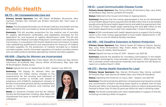## <span id="page-11-0"></span>**Public Health**

#### **[SB 711 – NC Compassionate Care Act](https://www.ncleg.gov/BillLookUp/2021/SB 711)**

**Primary Senate Sponsors:** Sen. Bill Rabon (R-Bladen, Brunswick, New Hanover, Pender); Sen. Michael Lee (R-New Hanover); Sen. Paul Lowe, Jr. (D-Forsyth)

**Status:** This bill passed favorably out of Senate Judiciary and Health and has been referred to the Committee on Rules and Operations of the Senate.

**Summary:** This bill provides protections for the medical use of cannabis for registry identification cardholders, and establishes processes for the application for, and issuance of, registry identification cards. This bill also establishes the Medical Cannabis Production Commission and requires the Commission, in consultation with the NC Medical Care Commission, to adopt rules establishing qualifications and requirements for licensure of medical cannabis suppliers, for the production of medical cannabis by a medical cannabis supplier, and for the proper regulation of medical cannabis centers and cannabis products facilities operated by medical cannabis suppliers.

**Summary:** The Dignity for Women Who are Incarcerated Act makes various changes to the requirements for the housing and treatment of incarcerated women to include care related to pregnancy and childbirth; postpartum recovery of female incarcerated persons; family considerations; access to menstrual products; and training and technical assistance.

**Primary House Sponsors:** Rep. Donna White (R-Johnston); Rep. Larry Potts (R-Davidson); Rep. Donny Lambeth (R-Forsyth)

**Status:** Referred to the House Committee on Appropriations.

#### **[HB 608 – Dignity for Women are Incarcerated](https://www.ncleg.gov/BillLookUp/2021/HB 608)**

**Primary House Sponsors:** Rep. Kristin Baker, MD (R-Cabarrus); Rep. Ashton Clemmons (D-Guilford); Rep. Donna White (R-Johnston); Rep. Kyle Hall (R-Rockingham, Stokes, Surry)

**Summary:** Requires that the money appropriated in the act be distributed to local health departments; requires that the \$18 million that is to be divided equally among the local health departments; and adds the requirement that the Division of Public Health begin distributing the total \$36 million to the local health departments no later than September 1 of each fiscal year.

**Status:** Signed into law on September 10, 2021 – Session Law 2021-143.

**Primary House Sponsors:** Rep. Wayne Sasser (R-Cabarrus, Rowan, Stanly); Rep. Larry Potts (R-Davidson); Rep. Kristin Baker, MD (R-Cabarrus); Rep. Michael Wray (D-Halifax, Northampton)

**Notes:** Dr. Kerianne Crockett and the NC Ob/Gyn Society led this bipartisan initiative. Rep. Baker, MD championed this issue on behalf of her physician colleagues. *Kerianne Crockett, MD*



#### **[HB 61 – Local Communicable Disease Funds](https://www.ncleg.gov/BillLookUp/2021/HB 61)**

**Notes:** NCMS coordinated with health departments to support this funding, which is the most money appropriated to local health departments in NC history. This is a win for Medical Society members.

#### **[HB 395 – HIE Deadline Extension & Patient Protection](https://www.ncleg.gov/BillLookUp/2021/HB 395)**

**Status:** Signed into law on May 27, 2021 – Session Law 2021-26.

**Summary:** Extends the deadline for mandatory participation in the Health Information Exchange for most providers until January 1, 2023; requires the HIE to provide certain educational materials; and requires the HIE Board to report on or before March 1, 2022.

#### **[HB 272 – Revise Health Standard for Lead](https://www.ncleg.gov/BillLookUp/2021/HB 521)**

**Primary House Sponsors:** Rep. Warren (R-Rowan); Rep. Donny Lambeth (R-Forsyth); Rep. Gale Adcock (D-Wake); Rep. Larry Potts (R-Davidson)

**Status:** Signed by the Governor on July 2, 2021 – Session Law 2021-69

**Summary:** This bill amends the definition of lead poisoning hazard to include any concentration of lead in drinking water equal to or greater than 10 (was 15) parts per billion and requires remediation plans to reduce lead poisoning hazards to fewer than 10 (was 15) parts per billion for lead in drinking water.

**Notes:** The NCMS coordinated with other stakeholders in support of this bill, including circulating a letter of support.